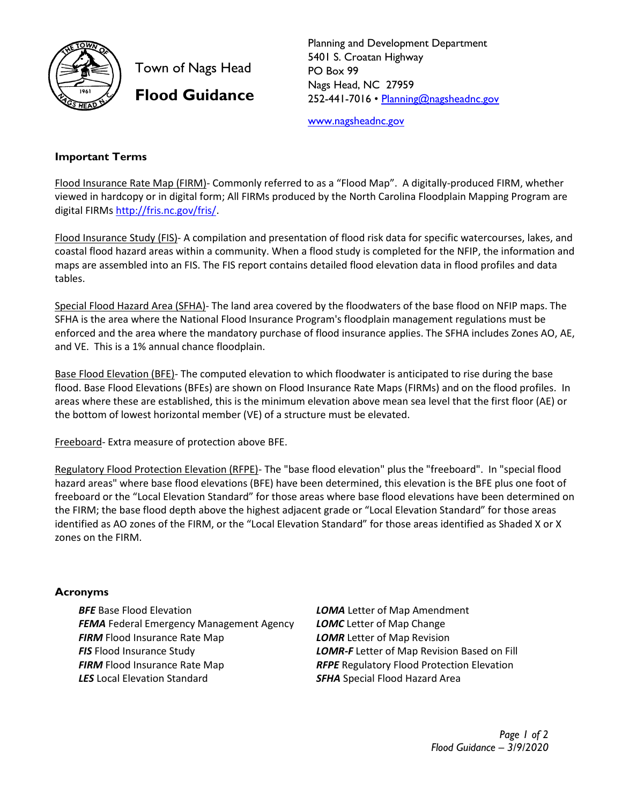

Town of Nags Head **Flood Guidance** 

Planning and Development Department 5401 S. Croatan Highway PO Box 99 Nags Head, NC 27959 252-441-7016 • [Planning@nagsheadnc.gov](mailto:Planning@nagsheadnc.gov)

[www.nagsheadnc.gov](http://www.nagsheadnc.gov/)

## **Important Terms**

Flood Insurance Rate Map (FIRM)- Commonly referred to as a "Flood Map". A digitally-produced FIRM, whether viewed in hardcopy or in digital form; All FIRMs produced by the North Carolina Floodplain Mapping Program are digital FIRMs [http://fris.nc.gov/fris/.](http://fris.nc.gov/fris/)

Flood Insurance Study (FIS)- A compilation and presentation of flood risk data for specific watercourses, lakes, and coastal flood hazard areas within a community. When a flood study is completed for the NFIP, the information and maps are assembled into an FIS. The FIS report contains detailed flood elevation data in flood profiles and data tables.

Special Flood Hazard Area (SFHA)- The land area covered by the floodwaters of the base flood on NFIP maps. The SFHA is the area where the National Flood Insurance Program's floodplain management regulations must be enforced and the area where the mandatory purchase of flood insurance applies. The SFHA includes Zones AO, AE, and VE. This is a 1% annual chance floodplain.

Base Flood Elevation (BFE)- The computed elevation to which floodwater is anticipated to rise during the base flood. Base Flood Elevations (BFEs) are shown on Flood Insurance Rate Maps (FIRMs) and on the flood profiles. In areas where these are established, this is the minimum elevation above mean sea level that the first floor (AE) or the bottom of lowest horizontal member (VE) of a structure must be elevated.

Freeboard- Extra measure of protection above BFE.

Regulatory Flood Protection Elevation (RFPE)- The "base flood elevation" plus the "freeboard". In "special flood hazard areas" where base flood elevations (BFE) have been determined, this elevation is the BFE plus one foot of freeboard or the "Local Elevation Standard" for those areas where base flood elevations have been determined on the FIRM; the base flood depth above the highest adjacent grade or "Local Elevation Standard" for those areas identified as AO zones of the FIRM, or the "Local Elevation Standard" for those areas identified as Shaded X or X zones on the FIRM.

## **Acronyms**

*BFE* Base Flood Elevation *FEMA* Federal Emergency Management Agency **FIRM** Flood Insurance Rate Map *FIS* Flood Insurance Study **FIRM** Flood Insurance Rate Map *LES* Local Elevation Standard

*LOMA* Letter of Map Amendment *LOMC* Letter of Map Change *LOMR* Letter of Map Revision *LOMR-F* Letter of Map Revision Based on Fill *RFPE* Regulatory Flood Protection Elevation **SFHA** Special Flood Hazard Area